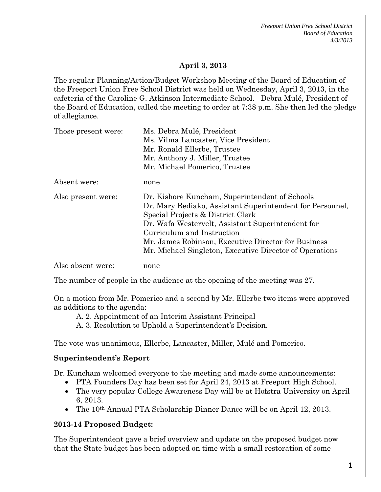*Freeport Union Free School District Board of Education 4/3/2013* 

### **April 3, 2013**

The regular Planning/Action/Budget Workshop Meeting of the Board of Education of the Freeport Union Free School District was held on Wednesday, April 3, 2013, in the cafeteria of the Caroline G. Atkinson Intermediate School. Debra Mulé, President of the Board of Education, called the meeting to order at 7:38 p.m. She then led the pledge of allegiance.

| Those present were: | Ms. Debra Mulé, President                                                                                   |
|---------------------|-------------------------------------------------------------------------------------------------------------|
|                     | Ms. Vilma Lancaster, Vice President                                                                         |
|                     | Mr. Ronald Ellerbe, Trustee                                                                                 |
|                     | Mr. Anthony J. Miller, Trustee                                                                              |
|                     | Mr. Michael Pomerico, Trustee                                                                               |
| Absent were:        | none                                                                                                        |
| Also present were:  | Dr. Kishore Kuncham, Superintendent of Schools<br>Dr. Mary Bediako, Assistant Superintendent for Personnel, |
|                     | Special Projects & District Clerk                                                                           |
|                     | Dr. Wafa Westervelt, Assistant Superintendent for                                                           |
|                     | Curriculum and Instruction                                                                                  |
|                     | Mr. James Robinson, Executive Director for Business                                                         |
|                     | Mr. Michael Singleton, Executive Director of Operations                                                     |
| Also absent were:   | none                                                                                                        |

The number of people in the audience at the opening of the meeting was 27.

On a motion from Mr. Pomerico and a second by Mr. Ellerbe two items were approved as additions to the agenda:

A. 2. Appointment of an Interim Assistant Principal

A. 3. Resolution to Uphold a Superintendent's Decision.

The vote was unanimous, Ellerbe, Lancaster, Miller, Mulé and Pomerico.

### **Superintendent's Report**

Dr. Kuncham welcomed everyone to the meeting and made some announcements:

- PTA Founders Day has been set for April 24, 2013 at Freeport High School.
- The very popular College Awareness Day will be at Hofstra University on April 6, 2013.
- The 10<sup>th</sup> Annual PTA Scholarship Dinner Dance will be on April 12, 2013.

### **2013-14 Proposed Budget:**

The Superintendent gave a brief overview and update on the proposed budget now that the State budget has been adopted on time with a small restoration of some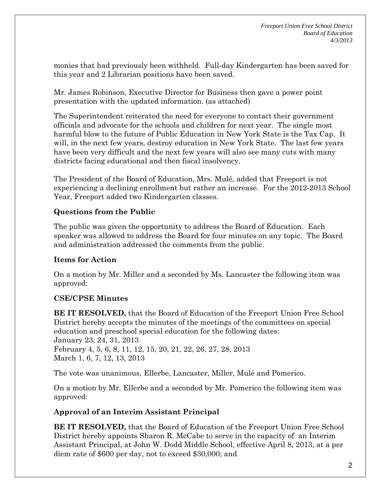monies that had previously been withheld. Full-day Kindergarten has been saved for this year and 2 Librarian positions have been saved.

Mr. James Robinson, Executive Director for Business then gave a power point presentation with the updated information. (as attached)

The Superintendent reiterated the need for everyone to contact their government officials and advocate for the schools and children for next year. The single most harmful blow to the future of Public Education in New York State is the Tax Cap. It will, in the next few years, destroy education in New York State. The last few years have been very difficult and the next few years will also see many cuts with many districts facing educational and then fiscal insolvency.

The President of the Board of Education, Mrs. Mulé, added that Freeport is not experiencing a declining enrollment but rather an increase. For the 2012-2013 School Year, Freeport added two Kindergarten classes.

# **Questions from the Public**

The public was given the opportunity to address the Board of Education. Each speaker was allowed to address the Board for four minutes on any topic. The Board and administration addressed the comments from the public.

# **Items for Action**

On a motion by Mr. Miller and a seconded by Ms. Lancaster the following item was approved:

# **CSE/CPSE Minutes**

**BE IT RESOLVED,** that the Board of Education of the Freeport Union Free School District hereby accepts the minutes of the meetings of the committees on special education and preschool special education for the following dates: January 23, 24, 31, 2013 February 4, 5, 6, 8, 11, 12, 15, 20, 21, 22, 26, 27, 28, 2013 March 1, 6, 7, 12, 13, 2013

The vote was unanimous, Ellerbe, Lancaster, Miller, Mulé and Pomerico.

On a motion by Mr. Ellerbe and a seconded by Mr. Pomerico the following item was approved:

### **Approval of an Interim Assistant Principal**

**BE IT RESOLVED,** that the Board of Education of the Freeport Union Free School District hereby appoints Sharon R. McCabe to serve in the capacity of an Interim Assistant Principal, at John W. Dodd Middle School, effective April 8, 2013, at a per diem rate of \$600 per day, not to exceed \$30,000; and